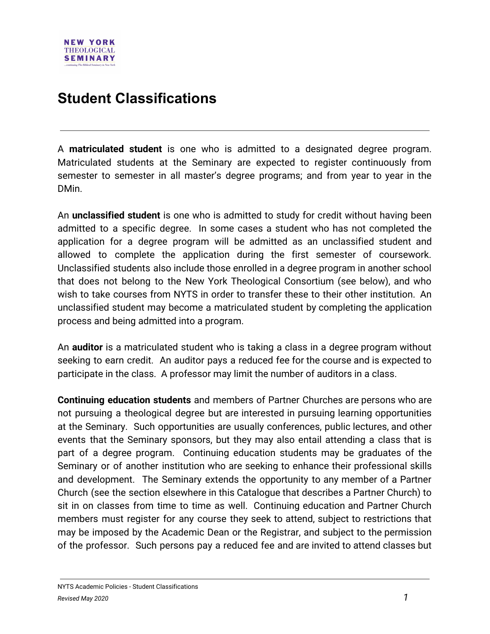## **Student Classifications**

A **matriculated student** is one who is admitted to a designated degree program. Matriculated students at the Seminary are expected to register continuously from semester to semester in all master's degree programs; and from year to year in the DMin.

An **unclassified student** is one who is admitted to study for credit without having been admitted to a specific degree. In some cases a student who has not completed the application for a degree program will be admitted as an unclassified student and allowed to complete the application during the first semester of coursework. Unclassified students also include those enrolled in a degree program in another school that does not belong to the New York Theological Consortium (see below), and who wish to take courses from NYTS in order to transfer these to their other institution. An unclassified student may become a matriculated student by completing the application process and being admitted into a program.

An **auditor** is a matriculated student who is taking a class in a degree program without seeking to earn credit. An auditor pays a reduced fee for the course and is expected to participate in the class. A professor may limit the number of auditors in a class.

**Continuing education students** and members of Partner Churches are persons who are not pursuing a theological degree but are interested in pursuing learning opportunities at the Seminary. Such opportunities are usually conferences, public lectures, and other events that the Seminary sponsors, but they may also entail attending a class that is part of a degree program. Continuing education students may be graduates of the Seminary or of another institution who are seeking to enhance their professional skills and development. The Seminary extends the opportunity to any member of a Partner Church (see the section elsewhere in this Catalogue that describes a Partner Church) to sit in on classes from time to time as well. Continuing education and Partner Church members must register for any course they seek to attend, subject to restrictions that may be imposed by the Academic Dean or the Registrar, and subject to the permission of the professor. Such persons pay a reduced fee and are invited to attend classes but